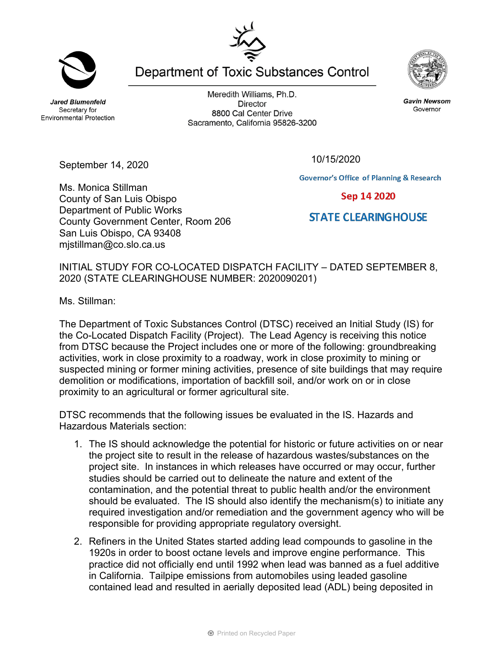**Jared Blumenfeld** Secretary for **Environmental Protection** 

September 14, 2020

Ms. Monica Stillman

County of San Luis Obispo Department of Public Works

San Luis Obispo, CA 93408 mjstillman@co.slo.ca.us

County Government Center, Room 206

Meredith Williams, Ph.D. **Director** 8800 Cal Center Drive Sacramento, California 95826-3200

Department of Toxic Substances Control

10/15/2020

**Governor's Office of Planning & Research** 

Sep 14 2020

## **STATE CLEARING HOUSE**

INITIAL STUDY FOR CO-LOCATED DISPATCH FACILITY – DATED SEPTEMBER 8, 2020 (STATE CLEARINGHOUSE NUMBER: 2020090201)

Ms. Stillman:

The Department of Toxic Substances Control (DTSC) received an Initial Study (IS) for the Co-Located Dispatch Facility (Project). The Lead Agency is receiving this notice from DTSC because the Project includes one or more of the following: groundbreaking activities, work in close proximity to a roadway, work in close proximity to mining or suspected mining or former mining activities, presence of site buildings that may require demolition or modifications, importation of backfill soil, and/or work on or in close proximity to an agricultural or former agricultural site.

DTSC recommends that the following issues be evaluated in the IS. Hazards and Hazardous Materials section:

- 1. The IS should acknowledge the potential for historic or future activities on or near the project site to result in the release of hazardous wastes/substances on the project site. In instances in which releases have occurred or may occur, further studies should be carried out to delineate the nature and extent of the contamination, and the potential threat to public health and/or the environment should be evaluated. The IS should also identify the mechanism(s) to initiate any required investigation and/or remediation and the government agency who will be responsible for providing appropriate regulatory oversight.
- 2. Refiners in the United States started adding lead compounds to gasoline in the 1920s in order to boost octane levels and improve engine performance. This practice did not officially end until 1992 when lead was banned as a fuel additive in California. Tailpipe emissions from automobiles using leaded gasoline contained lead and resulted in aerially deposited lead (ADL) being deposited in



**Gavin Newsom** 

Governor

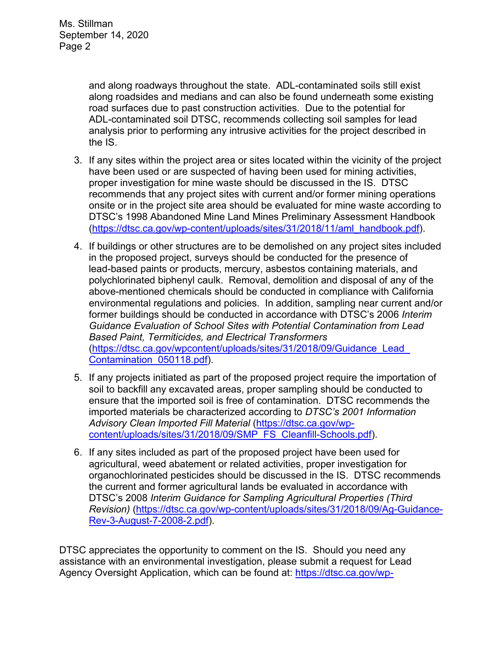and along roadways throughout the state. ADL-contaminated soils still exist along roadsides and medians and can also be found underneath some existing road surfaces due to past construction activities. Due to the potential for ADL-contaminated soil DTSC, recommends collecting soil samples for lead analysis prior to performing any intrusive activities for the project described in the IS.

- 3. If any sites within the project area or sites located within the vicinity of the project have been used or are suspected of having been used for mining activities, proper investigation for mine waste should be discussed in the IS. DTSC recommends that any project sites with current and/or former mining operations onsite or in the project site area should be evaluated for mine waste according to DTSC's 1998 Abandoned Mine Land Mines Preliminary Assessment Handbook (https://dtsc.ca.gov/wp-content/uploads/sites/31/2018/11/aml\_handbook.pdf).
- 4. If buildings or other structures are to be demolished on any project sites included in the proposed project, surveys should be conducted for the presence of lead-based paints or products, mercury, asbestos containing materials, and polychlorinated biphenyl caulk. Removal, demolition and disposal of any of the above-mentioned chemicals should be conducted in compliance with California environmental regulations and policies. In addition, sampling near current and/or former buildings should be conducted in accordance with DTSC's 2006 *Interim Guidance Evaluation of School Sites with Potential Contamination from Lead Based Paint, Termiticides, and Electrical Transformers*  (https://dtsc.ca.gov/wpcontent/uploads/sites/31/2018/09/Guidance\_Lead\_ Contamination\_050118.pdf).
- 5. If any projects initiated as part of the proposed project require the importation of soil to backfill any excavated areas, proper sampling should be conducted to ensure that the imported soil is free of contamination. DTSC recommends the imported materials be characterized according to *DTSC's 2001 Information Advisory Clean Imported Fill Material* (https://dtsc.ca.gov/wpcontent/uploads/sites/31/2018/09/SMP\_FS\_Cleanfill-Schools.pdf).
- 6. If any sites included as part of the proposed project have been used for agricultural, weed abatement or related activities, proper investigation for organochlorinated pesticides should be discussed in the IS. DTSC recommends the current and former agricultural lands be evaluated in accordance with DTSC's 2008 *Interim Guidance for Sampling Agricultural Properties (Third Revision)* (https://dtsc.ca.gov/wp-content/uploads/sites/31/2018/09/Ag-Guidance-Rev-3-August-7-2008-2.pdf).

DTSC appreciates the opportunity to comment on the IS. Should you need any assistance with an environmental investigation, please submit a request for Lead Agency Oversight Application, which can be found at: https://dtsc.ca.gov/wp